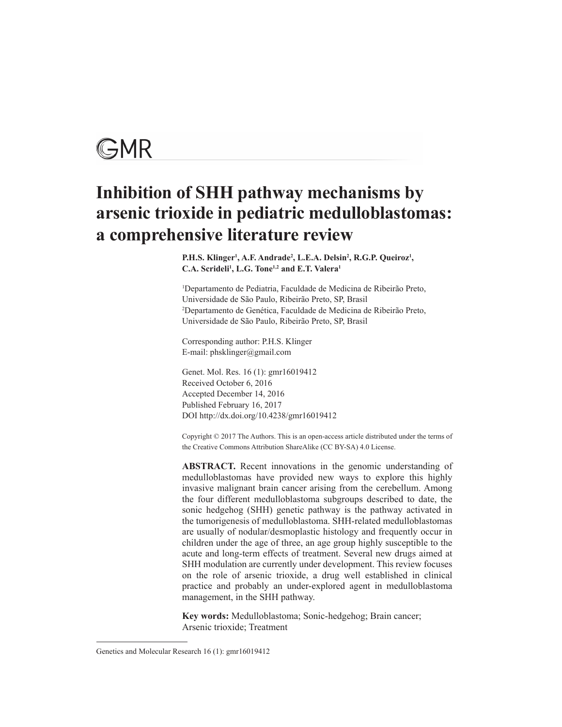# GMR

# **Inhibition of SHH pathway mechanisms by arsenic trioxide in pediatric medulloblastomas: a comprehensive literature review**

P.H.S. Klinger<sup>1</sup>, A.F. Andrade<sup>2</sup>, L.E.A. Delsin<sup>2</sup>, R.G.P. Queiroz<sup>1</sup>, C.A. Scrideli<sup>1</sup>, L.G. Tone<sup>1,2</sup> and E.T. Valera<sup>1</sup>

1 Departamento de Pediatria, Faculdade de Medicina de Ribeirão Preto, Universidade de São Paulo, Ribeirão Preto, SP, Brasil 2 Departamento de Genética, Faculdade de Medicina de Ribeirão Preto, Universidade de São Paulo, Ribeirão Preto, SP, Brasil

Corresponding author: P.H.S. Klinger E-mail: phsklinger@gmail.com

Genet. Mol. Res. 16 (1): gmr16019412 Received October 6, 2016 Accepted December 14, 2016 Published February 16, 2017 DOI http://dx.doi.org/10.4238/gmr16019412

Copyright © 2017 The Authors. This is an open-access article distributed under the terms of the Creative Commons Attribution ShareAlike (CC BY-SA) 4.0 License.

**ABSTRACT.** Recent innovations in the genomic understanding of medulloblastomas have provided new ways to explore this highly invasive malignant brain cancer arising from the cerebellum. Among the four different medulloblastoma subgroups described to date, the sonic hedgehog (SHH) genetic pathway is the pathway activated in the tumorigenesis of medulloblastoma. SHH-related medulloblastomas are usually of nodular/desmoplastic histology and frequently occur in children under the age of three, an age group highly susceptible to the acute and long-term effects of treatment. Several new drugs aimed at SHH modulation are currently under development. This review focuses on the role of arsenic trioxide, a drug well established in clinical practice and probably an under-explored agent in medulloblastoma management, in the SHH pathway.

**Key words:** Medulloblastoma; Sonic-hedgehog; Brain cancer; Arsenic trioxide; Treatment

Genetics and Molecular Research 16 (1): gmr16019412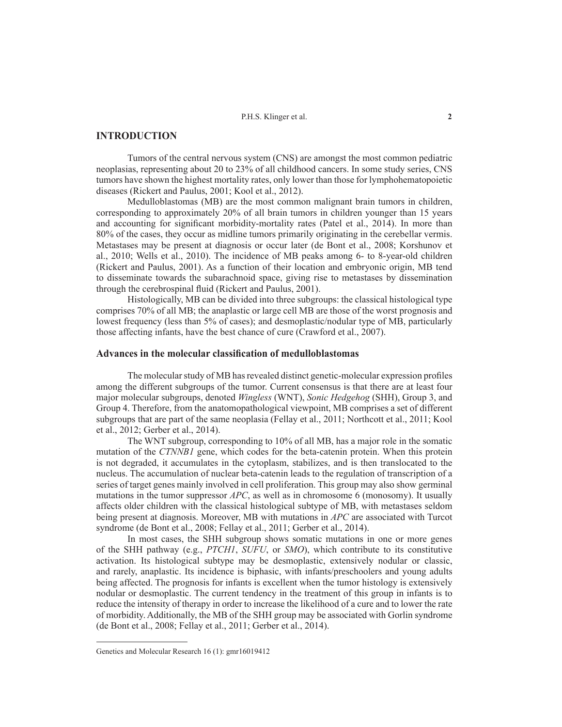# **INTRODUCTION**

Tumors of the central nervous system (CNS) are amongst the most common pediatric neoplasias, representing about 20 to 23% of all childhood cancers. In some study series, CNS tumors have shown the highest mortality rates, only lower than those for lymphohematopoietic diseases (Rickert and Paulus, 2001; Kool et al., 2012).

Medulloblastomas (MB) are the most common malignant brain tumors in children, corresponding to approximately 20% of all brain tumors in children younger than 15 years and accounting for significant morbidity-mortality rates (Patel et al., 2014). In more than 80% of the cases, they occur as midline tumors primarily originating in the cerebellar vermis. Metastases may be present at diagnosis or occur later (de Bont et al., 2008; Korshunov et al., 2010; Wells et al., 2010). The incidence of MB peaks among 6- to 8-year-old children (Rickert and Paulus, 2001). As a function of their location and embryonic origin, MB tend to disseminate towards the subarachnoid space, giving rise to metastases by dissemination through the cerebrospinal fluid (Rickert and Paulus, 2001).

Histologically, MB can be divided into three subgroups: the classical histological type comprises 70% of all MB; the anaplastic or large cell MB are those of the worst prognosis and lowest frequency (less than 5% of cases); and desmoplastic/nodular type of MB, particularly those affecting infants, have the best chance of cure (Crawford et al., 2007).

# **Advances in the molecular classification of medulloblastomas**

The molecular study of MB has revealed distinct genetic-molecular expression profiles among the different subgroups of the tumor. Current consensus is that there are at least four major molecular subgroups, denoted *Wingless* (WNT), *Sonic Hedgehog* (SHH), Group 3, and Group 4. Therefore, from the anatomopathological viewpoint, MB comprises a set of different subgroups that are part of the same neoplasia (Fellay et al., 2011; Northcott et al., 2011; Kool et al., 2012; Gerber et al., 2014).

The WNT subgroup, corresponding to 10% of all MB, has a major role in the somatic mutation of the *CTNNB1* gene, which codes for the beta-catenin protein. When this protein is not degraded, it accumulates in the cytoplasm, stabilizes, and is then translocated to the nucleus. The accumulation of nuclear beta-catenin leads to the regulation of transcription of a series of target genes mainly involved in cell proliferation. This group may also show germinal mutations in the tumor suppressor *APC*, as well as in chromosome 6 (monosomy). It usually affects older children with the classical histological subtype of MB, with metastases seldom being present at diagnosis. Moreover, MB with mutations in *APC* are associated with Turcot syndrome (de Bont et al., 2008; Fellay et al., 2011; Gerber et al., 2014).

In most cases, the SHH subgroup shows somatic mutations in one or more genes of the SHH pathway (e.g., *PTCH1*, *SUFU*, or *SMO*), which contribute to its constitutive activation. Its histological subtype may be desmoplastic, extensively nodular or classic, and rarely, anaplastic. Its incidence is biphasic, with infants/preschoolers and young adults being affected. The prognosis for infants is excellent when the tumor histology is extensively nodular or desmoplastic. The current tendency in the treatment of this group in infants is to reduce the intensity of therapy in order to increase the likelihood of a cure and to lower the rate of morbidity. Additionally, the MB of the SHH group may be associated with Gorlin syndrome (de Bont et al., 2008; Fellay et al., 2011; Gerber et al., 2014).

Genetics and Molecular Research 16 (1): gmr16019412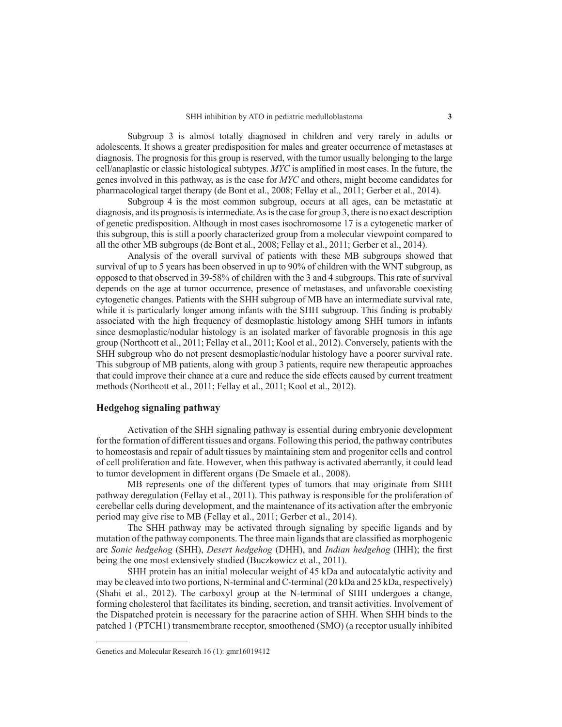Subgroup 3 is almost totally diagnosed in children and very rarely in adults or adolescents. It shows a greater predisposition for males and greater occurrence of metastases at diagnosis. The prognosis for this group is reserved, with the tumor usually belonging to the large cell/anaplastic or classic histological subtypes. *MYC* is amplified in most cases. In the future, the genes involved in this pathway, as is the case for *MYC* and others, might become candidates for pharmacological target therapy (de Bont et al., 2008; Fellay et al., 2011; Gerber et al., 2014).

Subgroup 4 is the most common subgroup, occurs at all ages, can be metastatic at diagnosis, and its prognosis is intermediate. As is the case for group 3, there is no exact description of genetic predisposition. Although in most cases isochromosome 17 is a cytogenetic marker of this subgroup, this is still a poorly characterized group from a molecular viewpoint compared to all the other MB subgroups (de Bont et al., 2008; Fellay et al., 2011; Gerber et al., 2014).

Analysis of the overall survival of patients with these MB subgroups showed that survival of up to 5 years has been observed in up to 90% of children with the WNT subgroup, as opposed to that observed in 39-58% of children with the 3 and 4 subgroups. This rate of survival depends on the age at tumor occurrence, presence of metastases, and unfavorable coexisting cytogenetic changes. Patients with the SHH subgroup of MB have an intermediate survival rate, while it is particularly longer among infants with the SHH subgroup. This finding is probably associated with the high frequency of desmoplastic histology among SHH tumors in infants since desmoplastic/nodular histology is an isolated marker of favorable prognosis in this age group (Northcott et al., 2011; Fellay et al., 2011; Kool et al., 2012). Conversely, patients with the SHH subgroup who do not present desmoplastic/nodular histology have a poorer survival rate. This subgroup of MB patients, along with group 3 patients, require new therapeutic approaches that could improve their chance at a cure and reduce the side effects caused by current treatment methods (Northcott et al., 2011; Fellay et al., 2011; Kool et al., 2012).

# **Hedgehog signaling pathway**

Activation of the SHH signaling pathway is essential during embryonic development for the formation of different tissues and organs. Following this period, the pathway contributes to homeostasis and repair of adult tissues by maintaining stem and progenitor cells and control of cell proliferation and fate. However, when this pathway is activated aberrantly, it could lead to tumor development in different organs (De Smaele et al., 2008).

MB represents one of the different types of tumors that may originate from SHH pathway deregulation (Fellay et al., 2011). This pathway is responsible for the proliferation of cerebellar cells during development, and the maintenance of its activation after the embryonic period may give rise to MB (Fellay et al., 2011; Gerber et al., 2014).

The SHH pathway may be activated through signaling by specific ligands and by mutation of the pathway components. The three main ligands that are classified as morphogenic are *Sonic hedgehog* (SHH), *Desert hedgehog* (DHH), and *Indian hedgehog* (IHH); the first being the one most extensively studied (Buczkowicz et al., 2011).

SHH protein has an initial molecular weight of 45 kDa and autocatalytic activity and may be cleaved into two portions, N-terminal and C-terminal (20 kDa and 25 kDa, respectively) (Shahi et al., 2012). The carboxyl group at the N-terminal of SHH undergoes a change, forming cholesterol that facilitates its binding, secretion, and transit activities. Involvement of the Dispatched protein is necessary for the paracrine action of SHH. When SHH binds to the patched 1 (PTCH1) transmembrane receptor, smoothened (SMO) (a receptor usually inhibited

Genetics and Molecular Research 16 (1): gmr16019412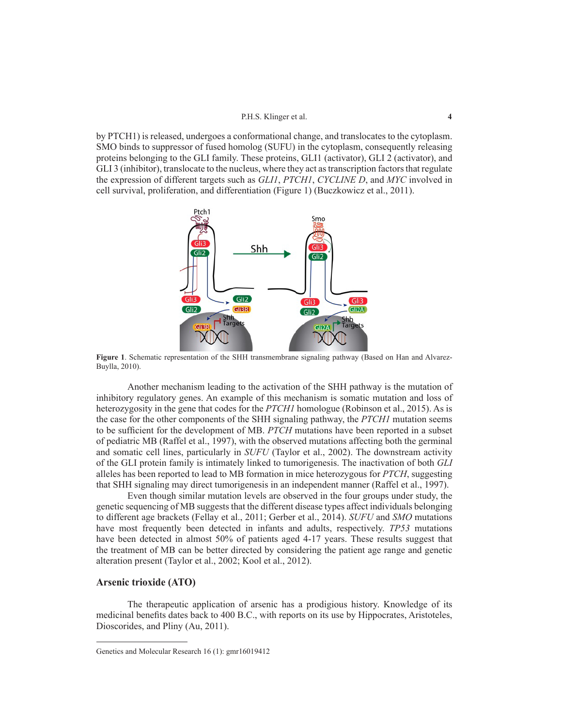by PTCH1) is released, undergoes a conformational change, and translocates to the cytoplasm. SMO binds to suppressor of fused homolog (SUFU) in the cytoplasm, consequently releasing proteins belonging to the GLI family. These proteins, GLI1 (activator), GLI 2 (activator), and GLI 3 (inhibitor), translocate to the nucleus, where they act as transcription factors that regulate the expression of different targets such as *GLI1*, *PTCH1*, *CYCLINE D*, and *MYC* involved in cell survival, proliferation, and differentiation (Figure 1) (Buczkowicz et al., 2011).



**Figure 1**. Schematic representation of the SHH transmembrane signaling pathway (Based on Han and Alvarez-Buylla, 2010).

Another mechanism leading to the activation of the SHH pathway is the mutation of inhibitory regulatory genes. An example of this mechanism is somatic mutation and loss of heterozygosity in the gene that codes for the *PTCH1* homologue (Robinson et al., 2015). As is the case for the other components of the SHH signaling pathway, the *PTCH1* mutation seems to be sufficient for the development of MB. *PTCH* mutations have been reported in a subset of pediatric MB (Raffel et al., 1997), with the observed mutations affecting both the germinal and somatic cell lines, particularly in *SUFU* (Taylor et al., 2002). The downstream activity of the GLI protein family is intimately linked to tumorigenesis. The inactivation of both *GLI* alleles has been reported to lead to MB formation in mice heterozygous for *PTCH*, suggesting that SHH signaling may direct tumorigenesis in an independent manner (Raffel et al., 1997).

Even though similar mutation levels are observed in the four groups under study, the genetic sequencing of MB suggests that the different disease types affect individuals belonging to different age brackets (Fellay et al., 2011; Gerber et al., 2014). *SUFU* and *SMO* mutations have most frequently been detected in infants and adults, respectively. *TP53* mutations have been detected in almost 50% of patients aged 4-17 years. These results suggest that the treatment of MB can be better directed by considering the patient age range and genetic alteration present (Taylor et al., 2002; Kool et al., 2012).

# **Arsenic trioxide (ATO)**

The therapeutic application of arsenic has a prodigious history. Knowledge of its medicinal benefits dates back to 400 B.C., with reports on its use by Hippocrates, Aristoteles, Dioscorides, and Pliny (Au, 2011).

Genetics and Molecular Research 16 (1): gmr16019412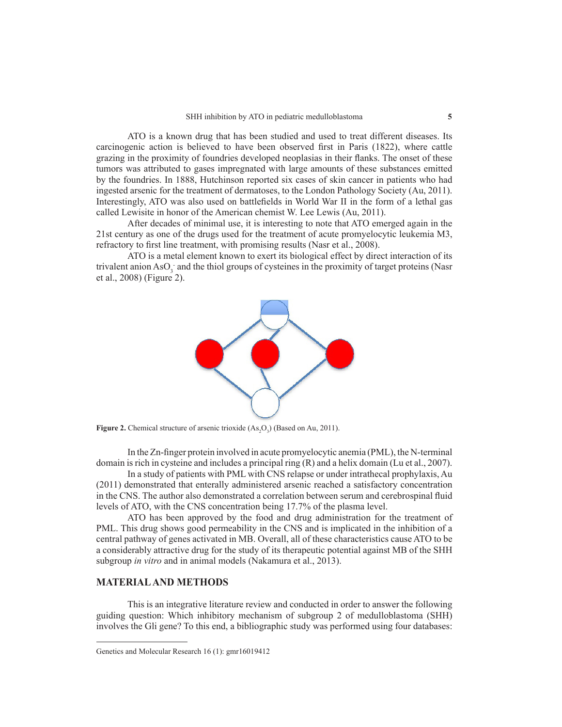ATO is a known drug that has been studied and used to treat different diseases. Its carcinogenic action is believed to have been observed first in Paris (1822), where cattle grazing in the proximity of foundries developed neoplasias in their flanks. The onset of these tumors was attributed to gases impregnated with large amounts of these substances emitted by the foundries. In 1888, Hutchinson reported six cases of skin cancer in patients who had ingested arsenic for the treatment of dermatoses, to the London Pathology Society (Au, 2011). Interestingly, ATO was also used on battlefields in World War II in the form of a lethal gas called Lewisite in honor of the American chemist W. Lee Lewis (Au, 2011).

After decades of minimal use, it is interesting to note that ATO emerged again in the 21st century as one of the drugs used for the treatment of acute promyelocytic leukemia M3, refractory to first line treatment, with promising results (Nasr et al., 2008).

ATO is a metal element known to exert its biological effect by direct interaction of its trivalent anion  $\text{AsO}_3$  and the thiol groups of cysteines in the proximity of target proteins (Nasr et al., 2008) (Figure 2).



**Figure 2.** Chemical structure of arsenic trioxide  $(As_2O_3)$  (Based on Au, 2011).

In the Zn-finger protein involved in acute promyelocytic anemia (PML), the N-terminal domain is rich in cysteine and includes a principal ring (R) and a helix domain (Lu et al., 2007).

In a study of patients with PML with CNS relapse or under intrathecal prophylaxis, Au (2011) demonstrated that enterally administered arsenic reached a satisfactory concentration in the CNS. The author also demonstrated a correlation between serum and cerebrospinal fluid levels of ATO, with the CNS concentration being 17.7% of the plasma level.

ATO has been approved by the food and drug administration for the treatment of PML. This drug shows good permeability in the CNS and is implicated in the inhibition of a central pathway of genes activated in MB. Overall, all of these characteristics cause ATO to be a considerably attractive drug for the study of its therapeutic potential against MB of the SHH subgroup *in vitro* and in animal models (Nakamura et al., 2013).

# **MATERIAL AND METHODS**

This is an integrative literature review and conducted in order to answer the following guiding question: Which inhibitory mechanism of subgroup 2 of medulloblastoma (SHH) involves the Gli gene? To this end, a bibliographic study was performed using four databases:

Genetics and Molecular Research 16 (1): gmr16019412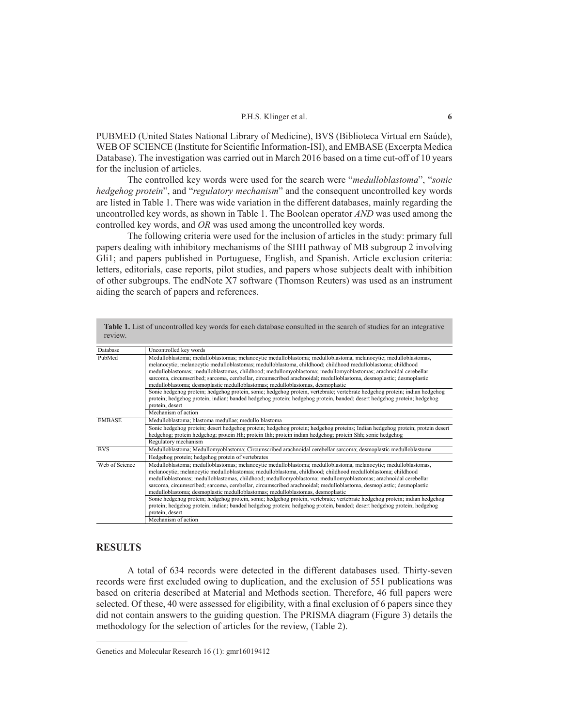PUBMED (United States National Library of Medicine), BVS (Biblioteca Virtual em Saúde), WEB OF SCIENCE (Institute for Scientific Information-ISI), and EMBASE (Excerpta Medica Database). The investigation was carried out in March 2016 based on a time cut-off of 10 years for the inclusion of articles.

The controlled key words were used for the search were "*medulloblastoma*", "*sonic hedgehog protein*", and "*regulatory mechanism*" and the consequent uncontrolled key words are listed in Table 1. There was wide variation in the different databases, mainly regarding the uncontrolled key words, as shown in Table 1. The Boolean operator *AND* was used among the controlled key words, and *OR* was used among the uncontrolled key words.

The following criteria were used for the inclusion of articles in the study: primary full papers dealing with inhibitory mechanisms of the SHH pathway of MB subgroup 2 involving Gli1; and papers published in Portuguese, English, and Spanish. Article exclusion criteria: letters, editorials, case reports, pilot studies, and papers whose subjects dealt with inhibition of other subgroups. The endNote X7 software (Thomson Reuters) was used as an instrument aiding the search of papers and references.

| Database       | Uncontrolled key words                                                                                                                                                                                                                                                                                                                                                                                                                                                                                                                                    |  |  |
|----------------|-----------------------------------------------------------------------------------------------------------------------------------------------------------------------------------------------------------------------------------------------------------------------------------------------------------------------------------------------------------------------------------------------------------------------------------------------------------------------------------------------------------------------------------------------------------|--|--|
| PubMed         | Medulloblastoma; medulloblastomas; melanocytic medulloblastoma; medulloblastoma, melanocytic; medulloblastomas,<br>melanocytic; melanocytic medulloblastomas; medulloblastoma, childhood; childhood medulloblastoma; childhood<br>medulloblastomas; medulloblastomas, childhood; medullomyoblastoma; medullomyoblastomas; arachnoidal cerebellar<br>sarcoma, circumscribed; sarcoma, cerebellar, circumscribed arachnoidal; medulloblastoma, desmoplastic; desmoplastic<br>medulloblastoma; desmoplastic medulloblastomas; medulloblastomas, desmoplastic |  |  |
|                | Sonic hedgehog protein; hedgehog protein, sonic; hedgehog protein, vertebrate; vertebrate hedgehog protein; indian hedgehog<br>protein; hedgehog protein, indian; banded hedgehog protein; hedgehog protein, banded; desert hedgehog protein; hedgehog<br>protein, desert<br>Mechanism of action                                                                                                                                                                                                                                                          |  |  |
| <b>EMBASE</b>  | Medulloblastoma; blastoma medullae; medullo blastoma                                                                                                                                                                                                                                                                                                                                                                                                                                                                                                      |  |  |
|                | Sonic hedgehog protein; desert hedgehog protein; hedgehog protein; hedgehog proteins; Indian hedgehog protein; protein desert<br>hedgehog; protein hedgehog; protein Hh; protein Ihh; protein indian hedgehog; protein Shh; sonic hedgehog<br>Regulatory mechanism                                                                                                                                                                                                                                                                                        |  |  |
| <b>BVS</b>     | Medulloblastoma; Medullomyoblastoma; Circumscribed arachnoidal cerebellar sarcoma; desmoplastic medulloblastoma                                                                                                                                                                                                                                                                                                                                                                                                                                           |  |  |
|                | Hedgehog protein; hedgehog protein of vertebrates                                                                                                                                                                                                                                                                                                                                                                                                                                                                                                         |  |  |
| Web of Science | Medulloblastoma; medulloblastomas; melanocytic medulloblastoma; medulloblastoma, melanocytic; medulloblastomas,<br>melanocytic; melanocytic medulloblastomas; medulloblastoma, childhood; childhood medulloblastoma; childhood<br>medulloblastomas; medulloblastomas, childhood; medullomyoblastoma; medullomyoblastomas; arachnoidal cerebellar<br>sarcoma, circumscribed; sarcoma, cerebellar, circumscribed arachnoidal; medulloblastoma, desmoplastic; desmoplastic<br>medulloblastoma; desmoplastic medulloblastomas; medulloblastomas, desmoplastic |  |  |
|                | Sonic hedgehog protein; hedgehog protein, sonic; hedgehog protein, vertebrate; vertebrate hedgehog protein; indian hedgehog<br>protein; hedgehog protein, indian; banded hedgehog protein; hedgehog protein, banded; desert hedgehog protein; hedgehog<br>protein, desert                                                                                                                                                                                                                                                                                 |  |  |

# **RESULTS**

A total of 634 records were detected in the different databases used. Thirty-seven records were first excluded owing to duplication, and the exclusion of 551 publications was based on criteria described at Material and Methods section. Therefore, 46 full papers were selected. Of these, 40 were assessed for eligibility, with a final exclusion of 6 papers since they did not contain answers to the guiding question. The PRISMA diagram (Figure 3) details the methodology for the selection of articles for the review, (Table 2).

Genetics and Molecular Research 16 (1): gmr16019412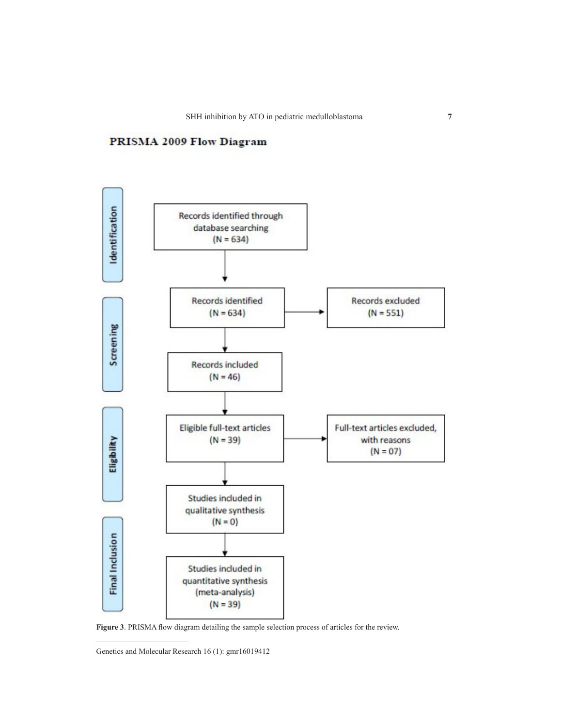# PRISMA 2009 Flow Diagram



**Figure 3**. PRISMA flow diagram detailing the sample selection process of articles for the review.

Genetics and Molecular Research 16 (1): gmr16019412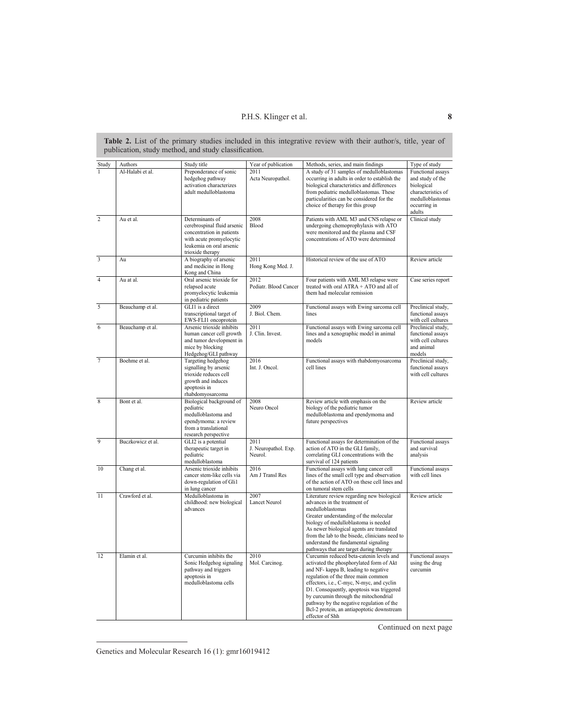**Table 2.** List of the primary studies included in this integrative review with their author/s, title, year of publication, study method, and study classification.

| Study                   | Authors           | Study title                                                                                                                                             | Year of publication                     | Methods, series, and main findings                                                                                                                                                                                                                                                                                                                                                                                   | Type of study                                                                                                           |
|-------------------------|-------------------|---------------------------------------------------------------------------------------------------------------------------------------------------------|-----------------------------------------|----------------------------------------------------------------------------------------------------------------------------------------------------------------------------------------------------------------------------------------------------------------------------------------------------------------------------------------------------------------------------------------------------------------------|-------------------------------------------------------------------------------------------------------------------------|
| ī                       | Al-Halabi et al.  | Preponderance of sonic<br>hedgehog pathway<br>activation characterizes<br>adult medulloblastoma                                                         | 2011<br>Acta Neuropathol.               | A study of 31 samples of medulloblastomas<br>occurring in adults in order to establish the<br>biological characteristics and differences<br>from pediatric medulloblastomas. These<br>particularities can be considered for the<br>choice of therapy for this group                                                                                                                                                  | Functional assays<br>and study of the<br>biological<br>characteristics of<br>medulloblastomas<br>occurring in<br>adults |
| $\overline{2}$          | Au et al.         | Determinants of<br>cerebrospinal fluid arsenic<br>concentration in patients<br>with acute promyelocytic<br>leukemia on oral arsenic<br>trioxide therapy | 2008<br>Blood                           | Patients with AML M3 and CNS relapse or<br>undergoing chemoprophylaxis with ATO<br>were monitored and the plasma and CSF<br>concentrations of ATO were determined                                                                                                                                                                                                                                                    | Clinical study                                                                                                          |
| $\overline{\mathbf{3}}$ | Au                | A biography of arsenic<br>and medicine in Hong<br>Kong and China                                                                                        | 2011<br>Hong Kong Med. J.               | Historical review of the use of ATO                                                                                                                                                                                                                                                                                                                                                                                  | Review article                                                                                                          |
| $\overline{4}$          | Au at al.         | Oral arsenic trioxide for<br>relapsed acute<br>promyelocytic leukemia<br>in pediatric patients                                                          | 2012<br>Pediatr. Blood Cancer           | Four patients with AML M3 relapse were<br>treated with oral ATRA + ATO and all of<br>them had molecular remission                                                                                                                                                                                                                                                                                                    | Case series report                                                                                                      |
| 5                       | Beauchamp et al.  | GLI1 is a direct<br>transcriptional target of<br>EWS-FLI1 oncoprotein                                                                                   | 2009<br>J. Biol. Chem.                  | Functional assays with Ewing sarcoma cell<br>lines                                                                                                                                                                                                                                                                                                                                                                   | Preclinical study,<br>functional assays<br>with cell cultures                                                           |
| 6                       | Beauchamp et al.  | Arsenic trioxide inhibits<br>human cancer cell growth<br>and tumor development in<br>mice by blocking<br>Hedgehog/GLI pathway                           | 2011<br>J. Clin. Invest.                | Functional assays with Ewing sarcoma cell<br>lines and a xenographic model in animal<br>models                                                                                                                                                                                                                                                                                                                       | Preclinical study,<br>functional assays<br>with cell cultures<br>and animal<br>models                                   |
| $\overline{7}$          | Boehme et al.     | Targeting hedgehog<br>signalling by arsenic<br>trioxide reduces cell<br>growth and induces<br>apoptosis in<br>rhabdomyosarcoma                          | 2016<br>Int. J. Oncol.                  | Functional assays with rhabdomyosarcoma<br>cell lines                                                                                                                                                                                                                                                                                                                                                                | Preclinical study,<br>functional assays<br>with cell cultures                                                           |
| 8                       | Bont et al.       | Biological background of<br>pediatric<br>medulloblastoma and<br>ependymoma: a review<br>from a translational<br>research perspective                    | 2008<br>Neuro Oncol                     | Review article with emphasis on the<br>biology of the pediatric tumor<br>medulloblastoma and ependymoma and<br>future perspectives                                                                                                                                                                                                                                                                                   | Review article                                                                                                          |
| 9                       | Buczkowicz et al. | GLI2 is a potential<br>therapeutic target in<br>pediatric<br>medulloblastoma                                                                            | 2011<br>J. Neuropathol. Exp.<br>Neurol. | Functional assays for determination of the<br>action of ATO in the GLI family,<br>correlating GLI concentrations with the<br>survival of 124 patients                                                                                                                                                                                                                                                                | Functional assays<br>and survival<br>analysis                                                                           |
| 10                      | Chang et al.      | Arsenic trioxide inhibits<br>cancer stem-like cells via<br>down-regulation of Gli1<br>in lung cancer                                                    | 2016<br>Am J Transl Res                 | Functional assays with lung cancer cell<br>lines of the small cell type and observation<br>of the action of ATO on these cell lines and<br>on tumoral stem cells                                                                                                                                                                                                                                                     | Functional assays<br>with cell lines                                                                                    |
| 11                      | Crawford et al.   | Medulloblastoma in<br>childhood: new biological<br>advances                                                                                             | 2007<br>Lancet Neurol                   | Literature review regarding new biological<br>advances in the treatment of<br>medulloblastomas<br>Greater understanding of the molecular<br>biology of medulloblastoma is needed<br>As newer biological agents are translated<br>from the lab to the bisede, clinicians need to<br>understand the fundamental signaling<br>pathways that are target during therapy                                                   | Review article                                                                                                          |
| 12                      | Elamin et al.     | Curcumin inhibits the<br>Sonic Hedgehog signaling<br>pathway and triggers<br>apoptosis in<br>medulloblastoma cells                                      | 2010<br>Mol. Carcinog.                  | Curcumin reduced beta-catenin levels and<br>activated the phosphorylated form of Akt<br>and NF- kappa B, leading to negative<br>regulation of the three main common<br>effectors, i.e., C-myc, N-myc, and cyclin<br>D1. Consequently, apoptosis was triggered<br>by curcumin through the mitochondrial<br>pathway by the negative regulation of the<br>Bcl-2 protein, an antiapoptotic downstream<br>effector of Shh | Functional assays<br>using the drug<br>curcumin                                                                         |

Continued on next page

Genetics and Molecular Research 16 (1): gmr16019412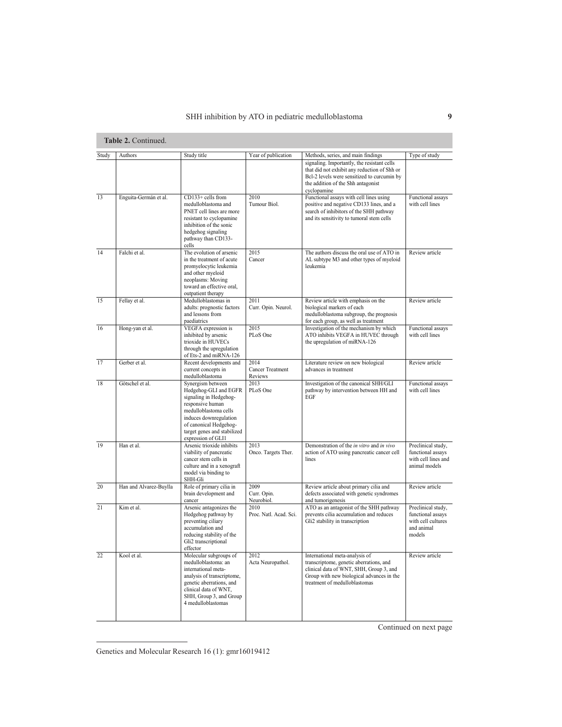| Study  | Authors                | Study title                                                                                                                                                                                                                | Year of publication                        | Methods, series, and main findings                                                                                                                                                                 | Type of study                                                                         |
|--------|------------------------|----------------------------------------------------------------------------------------------------------------------------------------------------------------------------------------------------------------------------|--------------------------------------------|----------------------------------------------------------------------------------------------------------------------------------------------------------------------------------------------------|---------------------------------------------------------------------------------------|
|        |                        |                                                                                                                                                                                                                            |                                            | signaling. Importantly, the resistant cells<br>that did not exhibit any reduction of Shh or<br>Bcl-2 levels were sensitized to curcumin by<br>the addition of the Shh antagonist<br>cyclopamine    |                                                                                       |
| 13     | Enguita-Germán et al.  | $CD133+$ cells from<br>medulloblastoma and<br>PNET cell lines are more<br>resistant to cyclopamine<br>inhibition of the sonic<br>hedgehog signaling<br>pathway than CD133-<br>cells                                        | 2010<br>Tumour Biol.                       | Functional assays with cell lines using<br>positive and negative CD133 lines, and a<br>search of inhibitors of the SHH pathway<br>and its sensitivity to tumoral stem cells                        | Functional assays<br>with cell lines                                                  |
| 14     | Falchi et al           | The evolution of arsenic<br>in the treatment of acute<br>promyelocytic leukemia<br>and other myeloid<br>neoplasms: Moving<br>toward an effective oral,<br>outpatient therapy                                               | 2015<br>Cancer                             | The authors discuss the oral use of ATO in<br>AL subtype M3 and other types of myeloid<br>leukemia                                                                                                 | Review article                                                                        |
| 15     | Fellay et al.          | Medulloblastomas in<br>adults: prognostic factors<br>and lessons from<br>paediatrics                                                                                                                                       | 2011<br>Curr. Opin. Neurol.                | Review article with emphasis on the<br>biological markers of each<br>medulloblastoma subgroup, the prognosis<br>for each group, as well as treatment                                               | Review article                                                                        |
| 16     | Hong-yan et al.        | VEGFA expression is<br>inhibited by arsenic<br>trioxide in HUVECs<br>through the upregulation<br>of Ets-2 and miRNA-126                                                                                                    | 2015<br>PLoS One                           | Investigation of the mechanism by which<br>ATO inhibits VEGFA in HUVEC through<br>the upregulation of miRNA-126                                                                                    | Functional assays<br>with cell lines                                                  |
| 17     | Gerber et al.          | Recent developments and<br>current concepts in<br>medulloblastoma                                                                                                                                                          | 2014<br><b>Cancer Treatment</b><br>Reviews | Literature review on new biological<br>advances in treatment                                                                                                                                       | Review article                                                                        |
| 18     | Götschel et al         | Synergism between<br>Hedgehog-GLI and EGFR<br>signaling in Hedgehog-<br>responsive human<br>medulloblastoma cells<br>induces downregulation<br>of canonical Hedgehog-<br>target genes and stabilized<br>expression of GLI1 | 2013<br>PLoS One                           | Investigation of the canonical SHH/GLI<br>pathway by intervention between HH and<br>EGF                                                                                                            | Functional assays<br>with cell lines                                                  |
| 19     | Han et al.             | Arsenic trioxide inhibits<br>viability of pancreatic<br>cancer stem cells in<br>culture and in a xenograft<br>model via binding to<br>SHH-Gli                                                                              | 2013<br>Onco. Targets Ther.                | Demonstration of the in vitro and in vivo<br>action of ATO using pancreatic cancer cell<br>lines                                                                                                   | Preclinical study,<br>functional assays<br>with cell lines and<br>animal models       |
| 20     | Han and Alvarez-Buylla | Role of primary cilia in<br>brain development and<br>cancer                                                                                                                                                                | 2009<br>Curr. Opin.<br>Neurobiol.          | Review article about primary cilia and<br>defects associated with genetic syndromes<br>and tumorigenesis                                                                                           | Review article                                                                        |
| 21     | Kim et al.             | Arsenic antagonizes the<br>Hedgehog pathway by<br>preventing ciliary<br>accumulation and<br>reducing stability of the<br>Gli2 transcriptional<br>effector                                                                  | 2010<br>Proc. Natl. Acad. Sci.             | ATO as an antagonist of the SHH pathway<br>prevents cilia accumulation and reduces<br>Gli2 stability in transcription                                                                              | Preclinical study,<br>functional assays<br>with cell cultures<br>and animal<br>models |
| $22\,$ | Kool et al.            | Molecular subgroups of<br>medulloblastoma: an<br>international meta-<br>analysis of transcriptome,<br>genetic aberrations, and<br>clinical data of WNT,<br>SHH, Group 3, and Group<br>4 medulloblastomas                   | 2012<br>Acta Neuropathol.                  | International meta-analysis of<br>transcriptome, genetic aberrations, and<br>clinical data of WNT, SHH, Group 3, and<br>Group with new biological advances in the<br>treatment of medulloblastomas | Review article                                                                        |

Continued on next page

Genetics and Molecular Research 16 (1): gmr16019412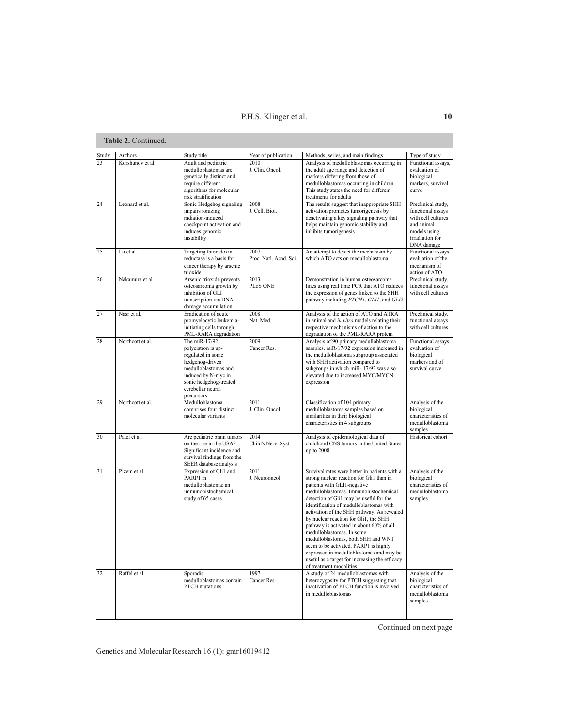| Study | Authors          | Study title                                                                                                                                                                              | Year of publication            | Methods, series, and main findings                                                                                                                                                                                                                                                                                                                                                                                                                                                                                                                                                                   | Type of study                                                                                                                |
|-------|------------------|------------------------------------------------------------------------------------------------------------------------------------------------------------------------------------------|--------------------------------|------------------------------------------------------------------------------------------------------------------------------------------------------------------------------------------------------------------------------------------------------------------------------------------------------------------------------------------------------------------------------------------------------------------------------------------------------------------------------------------------------------------------------------------------------------------------------------------------------|------------------------------------------------------------------------------------------------------------------------------|
| 23    | Korshunov et al. | Adult and pediatric<br>medulloblastomas are<br>genetically distinct and<br>require different<br>algorithms for molecular<br>risk stratification                                          | 2010<br>J. Clin. Oncol.        | Analysis of medulloblastomas occurring in<br>the adult age range and detection of<br>markers differing from those of<br>medulloblastomas occurring in children.<br>This study states the need for different<br>treatments for adults                                                                                                                                                                                                                                                                                                                                                                 | Functional assays,<br>evaluation of<br>biological<br>markers, survival<br>curve                                              |
| 24    | Leonard et al.   | Sonic Hedgehog signaling<br>impairs ionizing<br>radiation-induced<br>checkpoint activation and<br>induces genomic<br>instability                                                         | 2008<br>J. Cell. Biol.         | The results suggest that inappropriate SHH<br>activation promotes tumorigenesis by<br>deactivating a key signaling pathway that<br>helps maintain genomic stability and<br>inhibits tumorigenesis                                                                                                                                                                                                                                                                                                                                                                                                    | Preclinical study,<br>functional assays<br>with cell cultures<br>and animal<br>models using<br>irradiation for<br>DNA damage |
| 25    | Lu et al.        | Targeting thioredoxin<br>reductase is a basis for<br>cancer therapy by arsenic<br>trioxide.                                                                                              | 2007<br>Proc. Natl. Acad. Sci. | An attempt to detect the mechanism by<br>which ATO acts on medulloblastoma                                                                                                                                                                                                                                                                                                                                                                                                                                                                                                                           | Functional assays,<br>evaluation of the<br>mechanism of<br>action of ATO                                                     |
| 26    | Nakamura et al.  | Arsenic trioxide prevents<br>osteosarcoma growth by<br>inhibition of GLI<br>transcription via DNA<br>damage accumulation                                                                 | 2013<br>PLoS ONE               | Demonstration in human osteosarcoma<br>lines using real time PCR that ATO reduces<br>the expression of genes linked to the SHH<br>pathway including PTCH1, GLI1, and GLI2                                                                                                                                                                                                                                                                                                                                                                                                                            | Preclinical study,<br>functional assays<br>with cell cultures                                                                |
| 27    | Nasr et al.      | Eradication of acute<br>promyelocytic leukemia-<br>initiating cells through<br>PML-RARA degradation                                                                                      | 2008<br>Nat. Med.              | Analysis of the action of ATO and ATRA<br>in animal and in vitro models relating their<br>respective mechanisms of action to the<br>degradation of the PML-RARA protein                                                                                                                                                                                                                                                                                                                                                                                                                              | Preclinical study,<br>functional assays<br>with cell cultures                                                                |
| 28    | Northcott et al. | The miR-17/92<br>polycistron is up-<br>regulated in sonic<br>hedgehog-driven<br>medulloblastomas and<br>induced by N-myc in<br>sonic hedgehog-treated<br>cerebellar neural<br>precursors | 2009<br>Cancer Res.            | Analysis of 90 primary medulloblastoma<br>samples. miR-17/92 expression increased in<br>the medulloblastoma subgroup associated<br>with SHH activation compared to<br>subgroups in which miR-17/92 was also<br>elevated due to increased MYC/MYCN<br>expression                                                                                                                                                                                                                                                                                                                                      | Functional assays.<br>evaluation of<br>biological<br>markers and of<br>survival curve                                        |
| 29    | Northcott et al. | Medulloblastoma<br>comprises four distinct<br>molecular variants                                                                                                                         | 2011<br>J. Clin. Oncol.        | Classification of 104 primary<br>medulloblastoma samples based on<br>similarities in their biological<br>characteristics in 4 subgroups                                                                                                                                                                                                                                                                                                                                                                                                                                                              | Analysis of the<br>biological<br>characteristics of<br>medulloblastoma<br>samples                                            |
| 30    | Patel et al.     | Are pediatric brain tumors<br>on the rise in the USA?<br>Significant incidence and<br>survival findings from the<br>SEER database analysis                                               | 2014<br>Child's Nerv. Syst.    | Analysis of epidemiological data of<br>childhood CNS tumors in the United States<br>up to 2008                                                                                                                                                                                                                                                                                                                                                                                                                                                                                                       | Historical cohort                                                                                                            |
| 31    | Pizem et al.     | Expression of Gli1 and<br>PARP1 in<br>medulloblastoma: an<br>immunohistochemical<br>study of 65 cases                                                                                    | 2011<br>J. Neurooncol.         | Survival rates were better in patients with a<br>strong nuclear reaction for Gli1 than in<br>patients with GLI1-negative<br>medulloblastomas. Immunohistochemical<br>detection of Gli1 may be useful for the<br>identification of medulloblastomas with<br>activation of the SHH pathway. As revealed<br>by nuclear reaction for Gli1, the SHH<br>pathway is activated in about 60% of all<br>medulloblastomas. In some<br>medulloblastomas, both SHH and WNT<br>seem to be activated. PARP1 is highly<br>expressed in medulloblastomas and may be<br>useful as a target for increasing the efficacy | Analysis of the<br>biological<br>characteristics of<br>medulloblastoma<br>samples                                            |
| 32    | Raffel et al.    | Sporadic<br>medulloblastomas contain<br><b>PTCH</b> mutations                                                                                                                            | 1997<br>Cancer Res.            | of treatment modalities<br>A study of 24 medulloblastomas with<br>heterozygosity for PTCH suggesting that<br>inactivation of PTCH function is involved<br>in medulloblastomas                                                                                                                                                                                                                                                                                                                                                                                                                        | Analysis of the<br>biological<br>characteristics of<br>medulloblastoma<br>samples                                            |

Continued on next page

Genetics and Molecular Research 16 (1): gmr16019412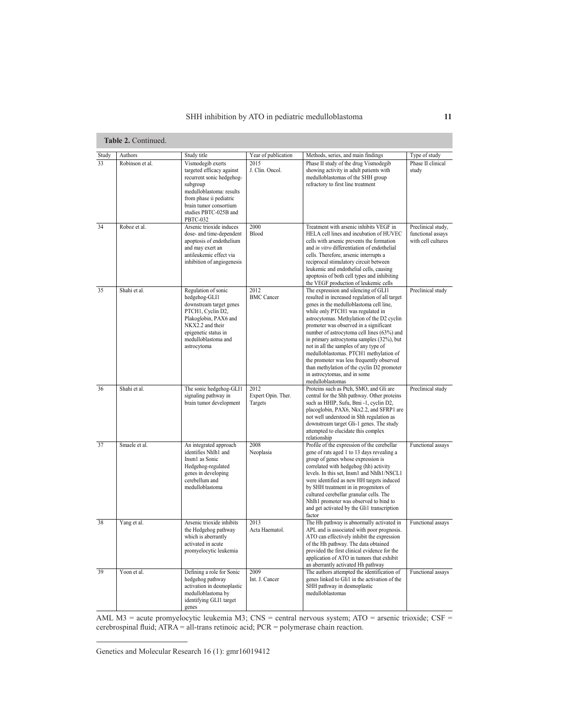| Study | Authors         | Study title                                                                                                                                                                                                          | Year of publication                   | Methods, series, and main findings                                                                                                                                                                                                                                                                                                                                                                                                                                                                                                                                                          | Type of study                                                 |
|-------|-----------------|----------------------------------------------------------------------------------------------------------------------------------------------------------------------------------------------------------------------|---------------------------------------|---------------------------------------------------------------------------------------------------------------------------------------------------------------------------------------------------------------------------------------------------------------------------------------------------------------------------------------------------------------------------------------------------------------------------------------------------------------------------------------------------------------------------------------------------------------------------------------------|---------------------------------------------------------------|
| 33    | Robinson et al. | Vismodegib exerts<br>targeted efficacy against<br>recurrent sonic hedgehog-<br>subgroup<br>medulloblastoma: results<br>from phase ii pediatric<br>brain tumor consortium<br>studies PBTC-025B and<br><b>PBTC-032</b> | 2015<br>J. Clin. Oncol.               | Phase II study of the drug Vismodegib<br>showing activity in adult patients with<br>medulloblastomas of the SHH group<br>refractory to first line treatment                                                                                                                                                                                                                                                                                                                                                                                                                                 | Phase II clinical<br>study                                    |
| 34    | Roboz et al.    | Arsenic trioxide induces<br>dose- and time-dependent<br>apoptosis of endothelium<br>and may exert an<br>antileukemic effect via<br>inhibition of angiogenesis                                                        | 2000<br>Blood                         | Treatment with arsenic inhibits VEGF in<br>HELA cell lines and incubation of HUVEC<br>cells with arsenic prevents the formation<br>and in vitro differentiation of endothelial<br>cells. Therefore, arsenic interrupts a<br>reciprocal stimulatory circuit between<br>leukemic and endothelial cells, causing<br>apoptosis of both cell types and inhibiting<br>the VEGF production of leukemic cells                                                                                                                                                                                       | Preclinical study,<br>functional assays<br>with cell cultures |
| 35    | Shahi et al.    | Regulation of sonic<br>hedgehog-GLI1<br>downstream target genes<br>PTCH1, Cyclin D2,<br>Plakoglobin, PAX6 and<br>NKX2.2 and their<br>epigenetic status in<br>medulloblastoma and<br>astrocytoma                      | 2012<br><b>BMC</b> Cancer             | The expression and silencing of GLI1<br>resulted in increased regulation of all target<br>genes in the medulloblastoma cell line,<br>while only PTCH1 was regulated in<br>astrocytomas. Methylation of the D2 cyclin<br>promoter was observed in a significant<br>number of astrocytoma cell lines (63%) and<br>in primary astrocytoma samples (32%), but<br>not in all the samples of any type of<br>medulloblastomas. PTCH1 methylation of<br>the promoter was less frequently observed<br>than methylation of the cyclin D2 promoter<br>in astrocytomas, and in some<br>medulloblastomas | Preclinical study                                             |
| 36    | Shahi et al.    | The sonic hedgehog-GLI1<br>signaling pathway in<br>brain tumor development                                                                                                                                           | 2012<br>Expert Opin. Ther.<br>Targets | Proteins such as Ptch, SMO, and Gli are<br>central for the Shh pathway. Other proteins<br>such as HHIP, Sufu, Bmi -1, cyclin D2,<br>placoglobin, PAX6, Nkx2.2, and SFRP1 are<br>not well understood in Shh regulation as<br>downstream target Gli-1 genes. The study<br>attempted to elucidate this complex<br>relationship                                                                                                                                                                                                                                                                 | Preclinical study                                             |
| 37    | Smaele et al.   | An integrated approach<br>identifies Nhlh1 and<br>Insm1 as Sonic<br>Hedgehog-regulated<br>genes in developing<br>cerebellum and<br>medulloblastoma                                                                   | 2008<br>Neoplasia                     | Profile of the expression of the cerebellar<br>gene of rats aged 1 to 13 days revealing a<br>group of genes whose expression is<br>correlated with hedgehog (hh) activity<br>levels. In this set, Insm1 and Nhlh1/NSCL1<br>were identified as new HH targets induced<br>by SHH treatment in in progenitors of<br>cultured cerebellar granular cells. The<br>Nhlh1 promoter was observed to bind to<br>and get activated by the Gli1 transcription<br>factor                                                                                                                                 | Functional assays                                             |
| 38    | Yang et al.     | Arsenic trioxide inhibits<br>the Hedgehog pathway<br>which is aberrantly<br>activated in acute<br>promyelocytic leukemia                                                                                             | 2013<br>Acta Haematol.                | The Hh pathway is abnormally activated in<br>APL and is associated with poor prognosis.<br>ATO can effectively inhibit the expression<br>of the Hh pathway. The data obtained<br>provided the first clinical evidence for the<br>application of ATO in tumors that exhibit<br>an aberrantly activated Hh pathway                                                                                                                                                                                                                                                                            | Functional assays                                             |
| 39    | Yoon et al.     | Defining a role for Sonic<br>hedgehog pathway<br>activation in desmoplastic<br>medulloblastoma by<br>identifying GLI1 target<br>genes                                                                                | 2009<br>Int. J. Cancer                | The authors attempted the identification of<br>genes linked to Gli1 in the activation of the<br>SHH pathway in desmoplastic<br>medulloblastomas                                                                                                                                                                                                                                                                                                                                                                                                                                             | Functional assays                                             |

AML M3 = acute promyelocytic leukemia M3; CNS = central nervous system; ATO = arsenic trioxide; CSF = cerebrospinal fluid; ATRA = all-trans retinoic acid; PCR = polymerase chain reaction.

Genetics and Molecular Research 16 (1): gmr16019412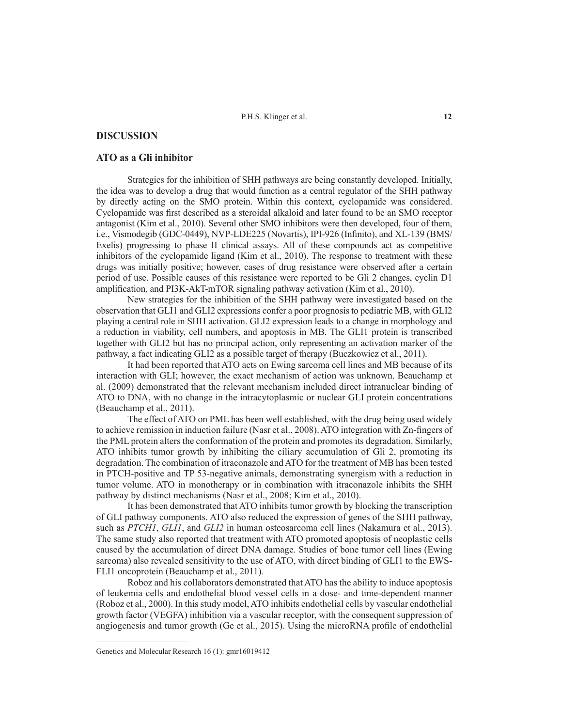# **DISCUSSION**

# **ATO as a Gli inhibitor**

Strategies for the inhibition of SHH pathways are being constantly developed. Initially, the idea was to develop a drug that would function as a central regulator of the SHH pathway by directly acting on the SMO protein. Within this context, cyclopamide was considered. Cyclopamide was first described as a steroidal alkaloid and later found to be an SMO receptor antagonist (Kim et al., 2010). Several other SMO inhibitors were then developed, four of them, i.e., Vismodegib (GDC-0449), NVP-LDE225 (Novartis), IPI-926 (Infinito), and XL-139 (BMS/ Exelis) progressing to phase II clinical assays. All of these compounds act as competitive inhibitors of the cyclopamide ligand (Kim et al., 2010). The response to treatment with these drugs was initially positive; however, cases of drug resistance were observed after a certain period of use. Possible causes of this resistance were reported to be Gli 2 changes, cyclin D1 amplification, and PI3K-AkT-mTOR signaling pathway activation (Kim et al., 2010).

New strategies for the inhibition of the SHH pathway were investigated based on the observation that GLI1 and GLI2 expressions confer a poor prognosis to pediatric MB, with GLI2 playing a central role in SHH activation. GLI2 expression leads to a change in morphology and a reduction in viability, cell numbers, and apoptosis in MB. The GLI1 protein is transcribed together with GLI2 but has no principal action, only representing an activation marker of the pathway, a fact indicating GLI2 as a possible target of therapy (Buczkowicz et al., 2011).

It had been reported that ATO acts on Ewing sarcoma cell lines and MB because of its interaction with GLI; however, the exact mechanism of action was unknown. Beauchamp et al. (2009) demonstrated that the relevant mechanism included direct intranuclear binding of ATO to DNA, with no change in the intracytoplasmic or nuclear GLI protein concentrations (Beauchamp et al., 2011).

The effect of ATO on PML has been well established, with the drug being used widely to achieve remission in induction failure (Nasr et al., 2008). ATO integration with Zn-fingers of the PML protein alters the conformation of the protein and promotes its degradation. Similarly, ATO inhibits tumor growth by inhibiting the ciliary accumulation of Gli 2, promoting its degradation. The combination of itraconazole and ATO for the treatment of MB has been tested in PTCH-positive and TP 53-negative animals, demonstrating synergism with a reduction in tumor volume. ATO in monotherapy or in combination with itraconazole inhibits the SHH pathway by distinct mechanisms (Nasr et al., 2008; Kim et al., 2010).

It has been demonstrated that ATO inhibits tumor growth by blocking the transcription of GLI pathway components. ATO also reduced the expression of genes of the SHH pathway, such as *PTCH1*, *GLI1*, and *GLI2* in human osteosarcoma cell lines (Nakamura et al., 2013). The same study also reported that treatment with ATO promoted apoptosis of neoplastic cells caused by the accumulation of direct DNA damage. Studies of bone tumor cell lines (Ewing sarcoma) also revealed sensitivity to the use of ATO, with direct binding of GLI1 to the EWS-FLI1 oncoprotein (Beauchamp et al., 2011).

Roboz and his collaborators demonstrated that ATO has the ability to induce apoptosis of leukemia cells and endothelial blood vessel cells in a dose- and time-dependent manner (Roboz et al., 2000). In this study model, ATO inhibits endothelial cells by vascular endothelial growth factor (VEGFA) inhibition via a vascular receptor, with the consequent suppression of angiogenesis and tumor growth (Ge et al., 2015). Using the microRNA profile of endothelial

Genetics and Molecular Research 16 (1): gmr16019412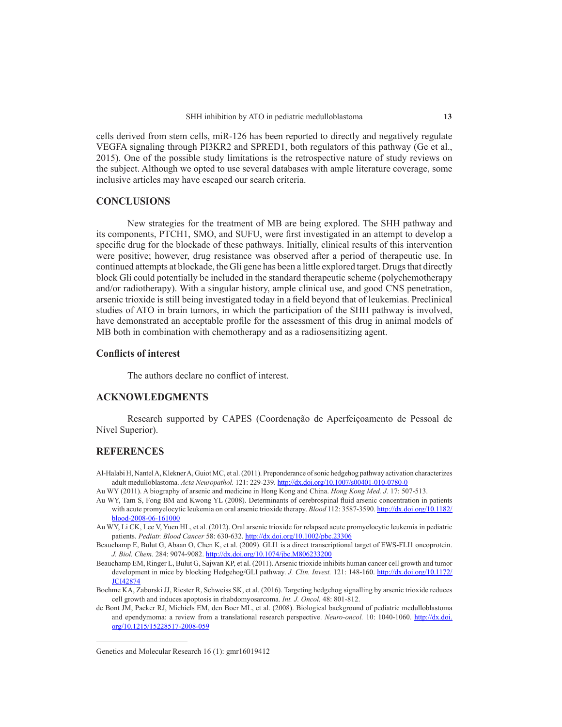cells derived from stem cells, miR-126 has been reported to directly and negatively regulate VEGFA signaling through PI3KR2 and SPRED1, both regulators of this pathway (Ge et al., 2015). One of the possible study limitations is the retrospective nature of study reviews on the subject. Although we opted to use several databases with ample literature coverage, some inclusive articles may have escaped our search criteria.

# **CONCLUSIONS**

New strategies for the treatment of MB are being explored. The SHH pathway and its components, PTCH1, SMO, and SUFU, were first investigated in an attempt to develop a specific drug for the blockade of these pathways. Initially, clinical results of this intervention were positive; however, drug resistance was observed after a period of therapeutic use. In continued attempts at blockade, the Gli gene has been a little explored target. Drugs that directly block Gli could potentially be included in the standard therapeutic scheme (polychemotherapy and/or radiotherapy). With a singular history, ample clinical use, and good CNS penetration, arsenic trioxide is still being investigated today in a field beyond that of leukemias. Preclinical studies of ATO in brain tumors, in which the participation of the SHH pathway is involved, have demonstrated an acceptable profile for the assessment of this drug in animal models of MB both in combination with chemotherapy and as a radiosensitizing agent.

# **Conflicts of interest**

The authors declare no conflict of interest.

# **ACKNOWLEDGMENTS**

Research supported by CAPES (Coordenação de Aperfeiçoamento de Pessoal de Nível Superior).

# **REFERENCES**

- Al-Halabi H, Nantel A, Klekner A, Guiot MC, et al. (2011). Preponderance of sonic hedgehog pathway activation characterizes adult medulloblastoma. *Acta Neuropathol.* 121: 229-239. http://dx.doi.org/10.1007/s00401-010-0780-0
- Au WY (2011). A biography of arsenic and medicine in Hong Kong and China. *Hong Kong Med. J.* 17: 507-513.
- Au WY, Tam S, Fong BM and Kwong YL (2008). Determinants of cerebrospinal fluid arsenic concentration in patients with acute promyelocytic leukemia on oral arsenic trioxide therapy. *Blood* 112: 3587-3590. http://dx.doi.org/10.1182/ blood-2008-06-161000
- Au WY, Li CK, Lee V, Yuen HL, et al. (2012). Oral arsenic trioxide for relapsed acute promyelocytic leukemia in pediatric patients. *Pediatr. Blood Cancer* 58: 630-632. http://dx.doi.org/10.1002/pbc.23306
- Beauchamp E, Bulut G, Abaan O, Chen K, et al. (2009). GLI1 is a direct transcriptional target of EWS-FLI1 oncoprotein. *J. Biol. Chem.* 284: 9074-9082. http://dx.doi.org/10.1074/jbc.M806233200
- Beauchamp EM, Ringer L, Bulut G, Sajwan KP, et al. (2011). Arsenic trioxide inhibits human cancer cell growth and tumor development in mice by blocking Hedgehog/GLI pathway. *J. Clin. Invest.* 121: 148-160. http://dx.doi.org/10.1172/ JCI42874
- Boehme KA, Zaborski JJ, Riester R, Schweiss SK, et al. (2016). Targeting hedgehog signalling by arsenic trioxide reduces cell growth and induces apoptosis in rhabdomyosarcoma. *Int. J. Oncol.* 48: 801-812.
- de Bont JM, Packer RJ, Michiels EM, den Boer ML, et al. (2008). Biological background of pediatric medulloblastoma and ependymoma: a review from a translational research perspective. *Neuro-oncol*. 10: 1040-1060. http://dx.doi. org/10.1215/15228517-2008-059

Genetics and Molecular Research 16 (1): gmr16019412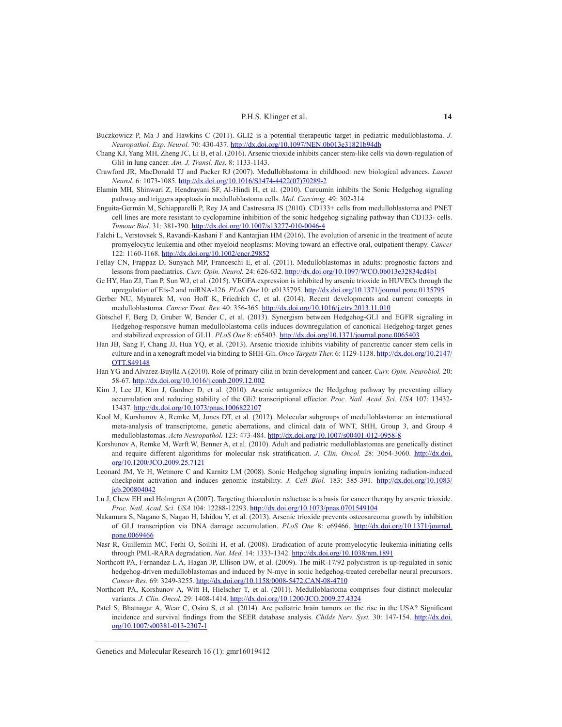- Buczkowicz P, Ma J and Hawkins C (2011). GLI2 is a potential therapeutic target in pediatric medulloblastoma. *J. Neuropathol. Exp. Neurol.* 70: 430-437. http://dx.doi.org/10.1097/NEN.0b013e31821b94db
- Chang KJ, Yang MH, Zheng JC, Li B, et al. (2016). Arsenic trioxide inhibits cancer stem-like cells via down-regulation of Gli1 in lung cancer. *Am. J. Transl. Res.* 8: 1133-1143.
- Crawford JR, MacDonald TJ and Packer RJ (2007). Medulloblastoma in childhood: new biological advances. *Lancet Neurol.* 6: 1073-1085. http://dx.doi.org/10.1016/S1474-4422(07)70289-2
- Elamin MH, Shinwari Z, Hendrayani SF, Al-Hindi H, et al. (2010). Curcumin inhibits the Sonic Hedgehog signaling pathway and triggers apoptosis in medulloblastoma cells. *Mol. Carcinog.* 49: 302-314.
- Enguita-Germán M, Schiapparelli P, Rey JA and Castresana JS (2010). CD133+ cells from medulloblastoma and PNET cell lines are more resistant to cyclopamine inhibition of the sonic hedgehog signaling pathway than CD133- cells. *Tumour Biol.* 31: 381-390. http://dx.doi.org/10.1007/s13277-010-0046-4
- Falchi L, Verstovsek S, Ravandi-Kashani F and Kantarjian HM (2016). The evolution of arsenic in the treatment of acute promyelocytic leukemia and other myeloid neoplasms: Moving toward an effective oral, outpatient therapy. *Cancer* 122: 1160-1168. http://dx.doi.org/10.1002/cncr.29852
- Fellay CN, Frappaz D, Sunyach MP, Franceschi E, et al. (2011). Medulloblastomas in adults: prognostic factors and lessons from paediatrics. *Curr. Opin. Neurol.* 24: 626-632. http://dx.doi.org/10.1097/WCO.0b013e32834cd4b1
- Ge HY, Han ZJ, Tian P, Sun WJ, et al. (2015). VEGFA expression is inhibited by arsenic trioxide in HUVECs through the upregulation of Ets-2 and miRNA-126. *PLoS One* 10: e0135795. http://dx.doi.org/10.1371/journal.pone.0135795
- Gerber NU, Mynarek M, von Hoff K, Friedrich C, et al. (2014). Recent developments and current concepts in medulloblastoma. *Cancer Treat. Rev.* 40: 356-365. http://dx.doi.org/10.1016/j.ctrv.2013.11.010
- Götschel F, Berg D, Gruber W, Bender C, et al. (2013). Synergism between Hedgehog-GLI and EGFR signaling in Hedgehog-responsive human medulloblastoma cells induces downregulation of canonical Hedgehog-target genes and stabilized expression of GLI1. *PLoS One* 8: e65403. http://dx.doi.org/10.1371/journal.pone.0065403
- Han JB, Sang F, Chang JJ, Hua YQ, et al. (2013). Arsenic trioxide inhibits viability of pancreatic cancer stem cells in culture and in a xenograft model via binding to SHH-Gli. *Onco Targets Ther.* 6: 1129-1138. http://dx.doi.org/10.2147/ OTT.S49148
- Han YG and Alvarez-Buylla A (2010). Role of primary cilia in brain development and cancer. *Curr. Opin. Neurobiol.* 20: 58-67. http://dx.doi.org/10.1016/j.conb.2009.12.002
- Kim J, Lee JJ, Kim J, Gardner D, et al. (2010). Arsenic antagonizes the Hedgehog pathway by preventing ciliary accumulation and reducing stability of the Gli2 transcriptional effector. *Proc. Natl. Acad. Sci. USA* 107: 13432- 13437. http://dx.doi.org/10.1073/pnas.1006822107
- Kool M, Korshunov A, Remke M, Jones DT, et al. (2012). Molecular subgroups of medulloblastoma: an international meta-analysis of transcriptome, genetic aberrations, and clinical data of WNT, SHH, Group 3, and Group 4 medulloblastomas. *Acta Neuropathol.* 123: 473-484. http://dx.doi.org/10.1007/s00401-012-0958-8
- Korshunov A, Remke M, Werft W, Benner A, et al. (2010). Adult and pediatric medulloblastomas are genetically distinct and require different algorithms for molecular risk stratification. *J. Clin. Oncol.* 28: 3054-3060. http://dx.doi. org/10.1200/JCO.2009.25.7121
- Leonard JM, Ye H, Wetmore C and Karnitz LM (2008). Sonic Hedgehog signaling impairs ionizing radiation-induced checkpoint activation and induces genomic instability. *J. Cell Biol.* 183: 385-391. http://dx.doi.org/10.1083/ jcb.200804042
- Lu J, Chew EH and Holmgren A (2007). Targeting thioredoxin reductase is a basis for cancer therapy by arsenic trioxide. *Proc. Natl. Acad. Sci. USA* 104: 12288-12293. http://dx.doi.org/10.1073/pnas.0701549104
- Nakamura S, Nagano S, Nagao H, Ishidou Y, et al. (2013). Arsenic trioxide prevents osteosarcoma growth by inhibition of GLI transcription via DNA damage accumulation. *PLoS One* 8: e69466. http://dx.doi.org/10.1371/journal. pone.0069466
- Nasr R, Guillemin MC, Ferhi O, Soilihi H, et al. (2008). Eradication of acute promyelocytic leukemia-initiating cells through PML-RARA degradation. *Nat. Med.* 14: 1333-1342. http://dx.doi.org/10.1038/nm.1891
- Northcott PA, Fernandez-L A, Hagan JP, Ellison DW, et al. (2009). The miR-17/92 polycistron is up-regulated in sonic hedgehog-driven medulloblastomas and induced by N-myc in sonic hedgehog-treated cerebellar neural precursors. *Cancer Res.* 69: 3249-3255. http://dx.doi.org/10.1158/0008-5472.CAN-08-4710
- Northcott PA, Korshunov A, Witt H, Hielscher T, et al. (2011). Medulloblastoma comprises four distinct molecular variants. *J. Clin. Oncol.* 29: 1408-1414. http://dx.doi.org/10.1200/JCO.2009.27.4324
- Patel S, Bhatnagar A, Wear C, Osiro S, et al. (2014). Are pediatric brain tumors on the rise in the USA? Significant incidence and survival findings from the SEER database analysis. *Childs Nerv. Syst.* 30: 147-154. http://dx.doi. org/10.1007/s00381-013-2307-1

Genetics and Molecular Research 16 (1): gmr16019412